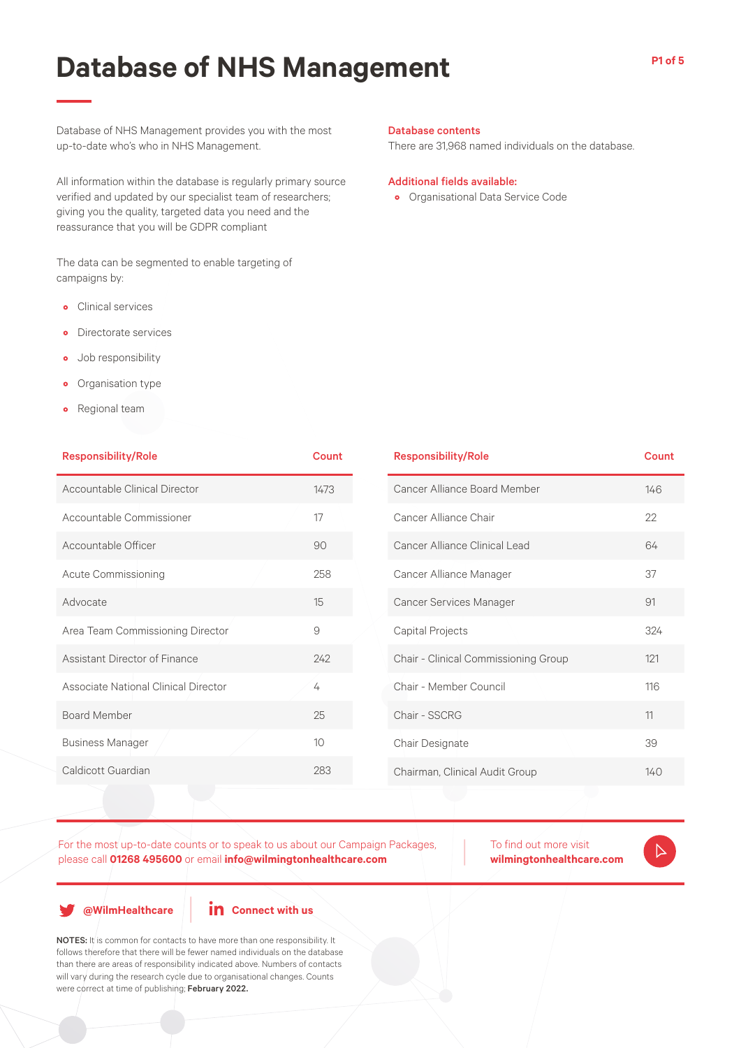Database of NHS Management provides you with the most up-to-date who's who in NHS Management.

All information within the database is regularly primary source verified and updated by our specialist team of researchers; giving you the quality, targeted data you need and the reassurance that you will be GDPR compliant

The data can be segmented to enable targeting of campaigns by:

- Clinical services
- Directorate services
- Job responsibility
- Organisation type
- Regional team

| Database contents |
|-------------------|
|-------------------|

There are 31,968 named individuals on the database.

#### Additional fields available:

• Organisational Data Service Code

| <b>Responsibility/Role</b>           | <b>Count</b> | <b>Responsibility/Role</b>           | Count |  |
|--------------------------------------|--------------|--------------------------------------|-------|--|
| Accountable Clinical Director        | 1473         | Cancer Alliance Board Member         | 146   |  |
| Accountable Commissioner             | 17           | Cancer Alliance Chair                | 22    |  |
| Accountable Officer                  | 90           | Cancer Alliance Clinical Lead        | 64    |  |
| Acute Commissioning                  | 258          | Cancer Alliance Manager              | 37    |  |
| Advocate                             | 15           | Cancer Services Manager              | 91    |  |
| Area Team Commissioning Director     | 9            | Capital Projects                     | 324   |  |
| Assistant Director of Finance        | 242          | Chair - Clinical Commissioning Group | 121   |  |
| Associate National Clinical Director | 4            | Chair - Member Council               | 116   |  |
| <b>Board Member</b>                  | 25           | Chair - SSCRG                        | 11    |  |
| <b>Business Manager</b>              | 10           | Chair Designate                      | 39    |  |
| Caldicott Guardian                   | 283          | Chairman, Clinical Audit Group       | 140   |  |
|                                      |              |                                      |       |  |

For the most up-to-date counts or to speak to us about our Campaign Packages, please call **01268 495600** or email **info@wilmingtonhealthcare.com**

To find out more visit **wilmingtonhealthcare.com**

**@WilmHealthcare**

**in** Connect with us

NOTES: It is common for contacts to have more than one responsibility. It follows therefore that there will be fewer named individuals on the database than there are areas of responsibility indicated above. Numbers of contacts will vary during the research cycle due to organisational changes. Counts were correct at time of publishing; February 2022.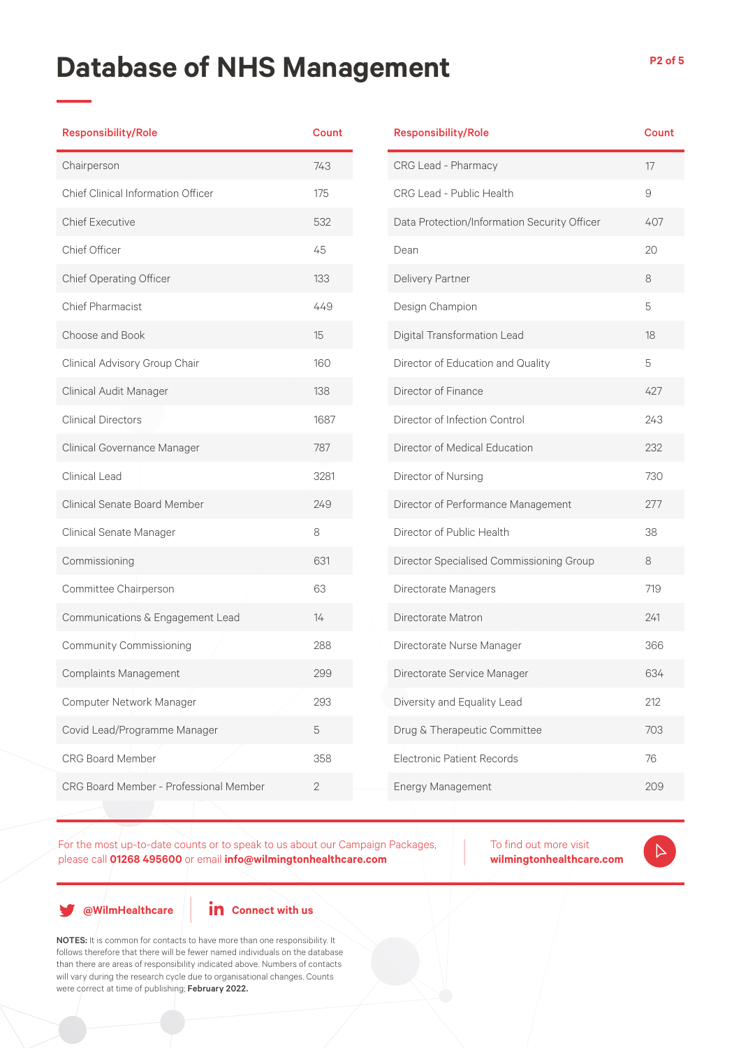| <b>Responsibility/Role</b>                | <b>Count</b>   | Res         |
|-------------------------------------------|----------------|-------------|
| Chairperson                               | 743            | <b>CRO</b>  |
| <b>Chief Clinical Information Officer</b> | 175            | <b>CRO</b>  |
| <b>Chief Executive</b>                    | 532            | Dat         |
| Chief Officer                             | 45             | Dea         |
| Chief Operating Officer                   | 133            | Deli        |
| Chief Pharmacist                          | 449            | Des         |
| Choose and Book                           | 15             | Dig         |
| Clinical Advisory Group Chair             | 160            | Dire        |
| Clinical Audit Manager                    | 138            | Dire        |
| <b>Clinical Directors</b>                 | 1687           | Dire        |
| Clinical Governance Manager               | 787            | Dire        |
| Clinical Lead                             | 3281           | Dire        |
| <b>Clinical Senate Board Member</b>       | 249            | Dire        |
| Clinical Senate Manager                   | 8              | Dire        |
| Commissioning                             | 631            | Dire        |
| Committee Chairperson                     | 63             | Dire        |
| Communications & Engagement Lead          | 14             | Dire        |
| <b>Community Commissioning</b>            | 288            | Dire        |
| <b>Complaints Management</b>              | 299            | Dire        |
| Computer Network Manager                  | 293            | <b>Dive</b> |
| Covid Lead/Programme Manager              | 5              | Dru         |
| <b>CRG Board Member</b>                   | 358            | Elec        |
| CRG Board Member - Professional Member    | $\overline{2}$ | Ene         |
|                                           |                |             |

|  | <b>Responsibility/Role</b>                   | Count |
|--|----------------------------------------------|-------|
|  | CRG Lead - Pharmacy                          | 17    |
|  | CRG Lead - Public Health                     | 9     |
|  | Data Protection/Information Security Officer | 407   |
|  | Dean                                         | 20    |
|  | Delivery Partner                             | 8     |
|  | Design Champion                              | 5     |
|  | Digital Transformation Lead                  | 18    |
|  | Director of Education and Quality            | 5     |
|  | Director of Finance                          | 427   |
|  | Director of Infection Control                | 243   |
|  | Director of Medical Education                | 232   |
|  | Director of Nursing                          | 730   |
|  | Director of Performance Management           | 277   |
|  | Director of Public Health                    | 38    |
|  | Director Specialised Commissioning Group     | 8     |
|  | Directorate Managers                         | 719   |
|  | Directorate Matron                           | 241   |
|  | Directorate Nurse Manager                    | 366   |
|  | Directorate Service Manager                  | 634   |
|  | Diversity and Equality Lead                  | 212   |
|  | Drug & Therapeutic Committee                 | 703   |
|  | <b>Flectronic Patient Records</b>            | 76    |
|  | Energy Management                            | 209   |

For the most up-to-date counts or to speak to us about our Campaign Packages, please call **01268 495600** or email **info@wilmingtonhealthcare.com**

To find out more visit **wilmingtonhealthcare.com**  $\triangleright$ 

**@WilmHealthcare**

**in** Connect with us

NOTES: It is common for contacts to have more than one responsibility. It follows therefore that there will be fewer named individuals on the database than there are areas of responsibility indicated above. Numbers of contacts will vary during the research cycle due to organisational changes. Counts were correct at time of publishing; February 2022.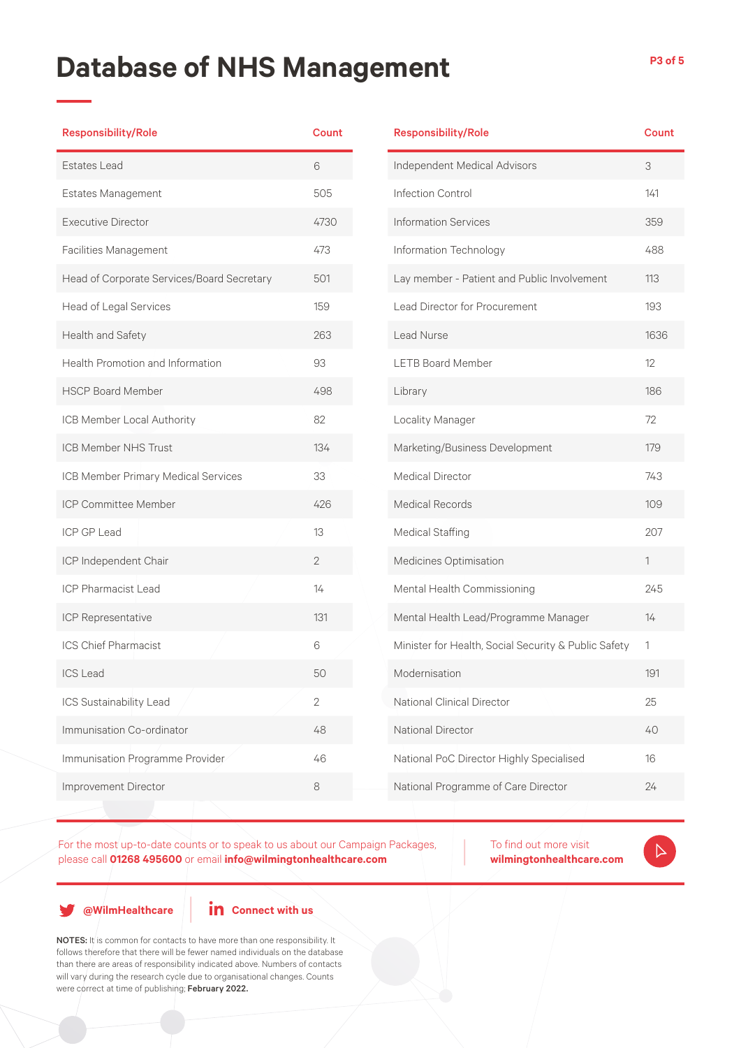| <b>Responsibility/Role</b>                 | Count          | Re:             |
|--------------------------------------------|----------------|-----------------|
| <b>Estates Lead</b>                        | 6              | Ind             |
| <b>Estates Management</b>                  | 505            | Infe            |
| <b>Executive Director</b>                  | 4730           | Info            |
| <b>Facilities Management</b>               | 473            | Info            |
| Head of Corporate Services/Board Secretary | 501            | Lay             |
| Head of Legal Services                     | 159            | Lea             |
| Health and Safety                          | 263            | Lea             |
| <b>Health Promotion and Information</b>    | 93             | ΓE.             |
| <b>HSCP Board Member</b>                   | 498            | Lib             |
| ICB Member Local Authority                 | 82             | Lo              |
| <b>ICB Member NHS Trust</b>                | 134            | Ma              |
| ICB Member Primary Medical Services        | 33             | Me              |
| ICP Committee Member                       | 426            | Me              |
| <b>ICP GP Lead</b>                         | 13             | Me              |
| ICP Independent Chair                      | $\overline{2}$ | Me              |
| <b>ICP Pharmacist Lead</b>                 | 14             | Me              |
| ICP Representative                         | 131            | Me              |
| <b>ICS Chief Pharmacist</b>                | 6              | Mir             |
| <b>ICS Lead</b>                            | 50             | Mo              |
| ICS Sustainability Lead                    | $\mathbf{2}$   | Na <sup>-</sup> |
| Immunisation Co-ordinator                  | 48             | Na <sup>.</sup> |
| Immunisation Programme Provider            | 46             | Na <sup>-</sup> |
| Improvement Director                       | 8              | Na <sup>®</sup> |
|                                            |                |                 |

| <b>Responsibility/Role</b>                           | Count |
|------------------------------------------------------|-------|
| Independent Medical Advisors                         | 3     |
| Infection Control                                    | 141   |
| <b>Information Services</b>                          | 359   |
| Information Technology                               | 488   |
| Lay member - Patient and Public Involvement          | 113   |
| <b>Lead Director for Procurement</b>                 | 193   |
| Lead Nurse                                           | 1636  |
| <b>LETB Board Member</b>                             | 12    |
| Library                                              | 186   |
| Locality Manager                                     | 72    |
| Marketing/Business Development                       | 179   |
| <b>Medical Director</b>                              | 743   |
| Medical Records                                      | 109   |
| <b>Medical Staffing</b>                              | 207   |
| Medicines Optimisation                               | 1     |
| Mental Health Commissioning                          | 245   |
| Mental Health Lead/Programme Manager                 | 14    |
| Minister for Health, Social Security & Public Safety | 1     |
| Modernisation                                        | 191   |
| National Clinical Director                           | 25    |
| <b>National Director</b>                             | 40    |
| National PoC Director Highly Specialised             | 16    |
| National Programme of Care Director                  | 24    |

For the most up-to-date counts or to speak to us about our Campaign Packages,

please call **01268 495600** or email **info@wilmingtonhealthcare.com**

To find out more visit **wilmingtonhealthcare.com**

 $\triangleright$ 

**@WilmHealthcare**

**in** Connect with us

NOTES: It is common for contacts to have more than one responsibility. It follows therefore that there will be fewer named individuals on the database than there are areas of responsibility indicated above. Numbers of contacts will vary during the research cycle due to organisational changes. Counts were correct at time of publishing; February 2022.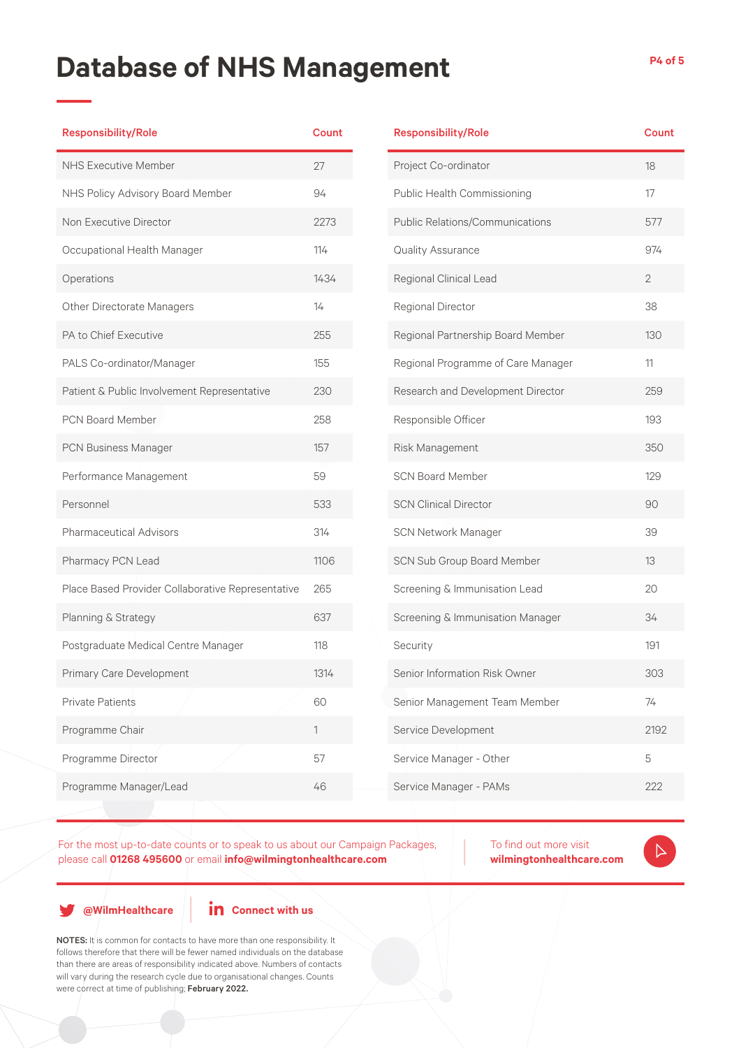| <b>Responsibility/Role</b>                        | <b>Count</b> |
|---------------------------------------------------|--------------|
| <b>NHS Executive Member</b>                       | 27           |
| NHS Policy Advisory Board Member                  | 94           |
| Non Executive Director                            | 2273         |
| Occupational Health Manager                       | 114          |
| Operations                                        | 1434         |
| Other Directorate Managers                        | 14           |
| PA to Chief Executive                             | 255          |
| PALS Co-ordinator/Manager                         | 155          |
| Patient & Public Involvement Representative       | 230          |
| <b>PCN Board Member</b>                           | 258          |
| PCN Business Manager                              | 157          |
| Performance Management                            | 59           |
| Personnel                                         | 533          |
| <b>Pharmaceutical Advisors</b>                    | 314          |
| Pharmacy PCN Lead                                 | 1106         |
| Place Based Provider Collaborative Representative | 265          |
| Planning & Strategy                               | 637          |
| Postgraduate Medical Centre Manager               | 118          |
| Primary Care Development                          | 1314         |
| <b>Private Patients</b>                           | 60           |
| Programme Chair                                   | 1            |
| Programme Director                                | 57           |
| Programme Manager/Lead                            | 46           |
|                                                   |              |

| <b>Responsibility/Role</b>         | Count          |
|------------------------------------|----------------|
| Project Co-ordinator               | 18             |
| Public Health Commissioning        | 17             |
| Public Relations/Communications    | 577            |
| Quality Assurance                  | 974            |
| Regional Clinical Lead             | $\overline{2}$ |
| Regional Director                  | 38             |
| Regional Partnership Board Member  | 130            |
| Regional Programme of Care Manager | 11             |
| Research and Development Director  | 259            |
| Responsible Officer                | 193            |
| Risk Management                    | 350            |
| <b>SCN Board Member</b>            | 129            |
| <b>SCN Clinical Director</b>       | 90             |
| SCN Network Manager                | 39             |
| SCN Sub Group Board Member         | 13             |
| Screening & Immunisation Lead      | 20             |
| Screening & Immunisation Manager   | 34             |
| Security                           | 191            |
| Senior Information Risk Owner      | 303            |
| Senior Management Team Member      | 74             |
| Service Development                | 2192           |
| Service Manager - Other            | 5              |
| Service Manager - PAMs             | 222            |
|                                    |                |

For the most up-to-date counts or to speak to us about our Campaign Packages, please call **01268 495600** or email **info@wilmingtonhealthcare.com**

To find out more visit

**wilmingtonhealthcare.com**

 $\triangleright$ 

**@WilmHealthcare**

**in** Connect with us

NOTES: It is common for contacts to have more than one responsibility. It follows therefore that there will be fewer named individuals on the database than there are areas of responsibility indicated above. Numbers of contacts will vary during the research cycle due to organisational changes. Counts were correct at time of publishing; February 2022.